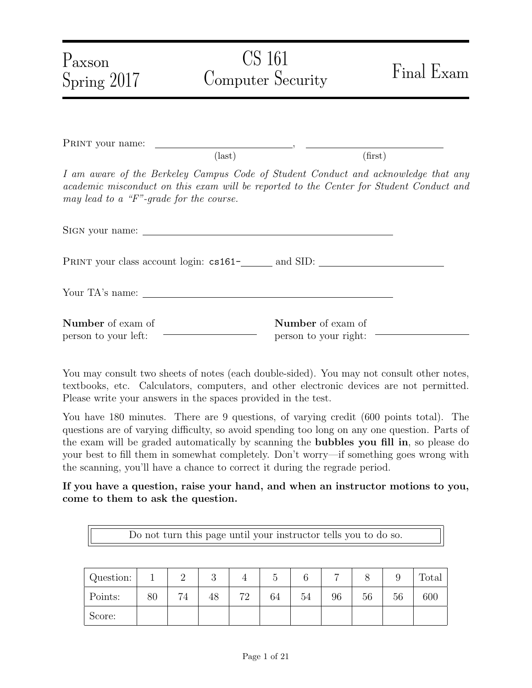| Paxson<br>Spring 2017                            | CS 161<br>Computer Security | Final Exam                                                                                                                                                                    |
|--------------------------------------------------|-----------------------------|-------------------------------------------------------------------------------------------------------------------------------------------------------------------------------|
|                                                  | $\text{(last)}$             | (first)                                                                                                                                                                       |
| may lead to a "F"-grade for the course.          |                             | I am aware of the Berkeley Campus Code of Student Conduct and acknowledge that any<br>academic misconduct on this exam will be reported to the Center for Student Conduct and |
|                                                  |                             |                                                                                                                                                                               |
|                                                  |                             |                                                                                                                                                                               |
| Your TA's name:                                  |                             |                                                                                                                                                                               |
| <b>Number</b> of exam of<br>person to your left: |                             | Number of exam of<br>person to your right:                                                                                                                                    |

You may consult two sheets of notes (each double-sided). You may not consult other notes, textbooks, etc. Calculators, computers, and other electronic devices are not permitted. Please write your answers in the spaces provided in the test.

You have 180 minutes. There are 9 questions, of varying credit (600 points total). The questions are of varying difficulty, so avoid spending too long on any one question. Parts of the exam will be graded automatically by scanning the bubbles you fill in, so please do your best to fill them in somewhat completely. Don't worry—if something goes wrong with the scanning, you'll have a chance to correct it during the regrade period.

If you have a question, raise your hand, and when an instructor motions to you, come to them to ask the question.

Do not turn this page until your instructor tells you to do so.

| Question: |    | ↵  | $\Omega$<br>U |         |    |    |    |    |    | <b>Total</b> |
|-----------|----|----|---------------|---------|----|----|----|----|----|--------------|
| Points:   | 80 | 74 | 48            | 70<br>∠ | 64 | 54 | 96 | 56 | 56 | 600          |
| Score:    |    |    |               |         |    |    |    |    |    |              |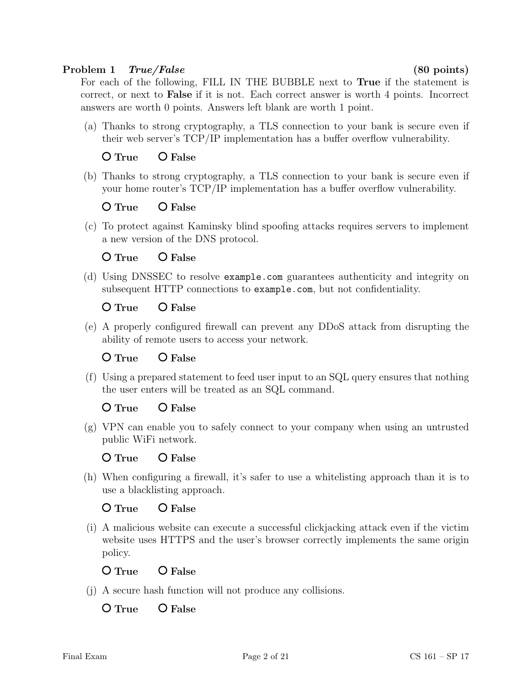### Problem 1 True/False (80 points)

For each of the following, FILL IN THE BUBBLE next to True if the statement is correct, or next to False if it is not. Each correct answer is worth 4 points. Incorrect answers are worth 0 points. Answers left blank are worth 1 point.

(a) Thanks to strong cryptography, a TLS connection to your bank is secure even if their web server's TCP/IP implementation has a buffer overflow vulnerability.

O True O False

(b) Thanks to strong cryptography, a TLS connection to your bank is secure even if your home router's TCP/IP implementation has a buffer overflow vulnerability.

O True O False

(c) To protect against Kaminsky blind spoofing attacks requires servers to implement a new version of the DNS protocol.

# O True O False

(d) Using DNSSEC to resolve example.com guarantees authenticity and integrity on subsequent HTTP connections to example.com, but not confidentiality.

# O True O False

(e) A properly configured firewall can prevent any DDoS attack from disrupting the ability of remote users to access your network.

# $O$  True  $O$  False

(f) Using a prepared statement to feed user input to an SQL query ensures that nothing the user enters will be treated as an SQL command.

# O True O False

(g) VPN can enable you to safely connect to your company when using an untrusted public WiFi network.

O True O False

(h) When configuring a firewall, it's safer to use a whitelisting approach than it is to use a blacklisting approach.

# O True O False

(i) A malicious website can execute a successful clickjacking attack even if the victim website uses HTTPS and the user's browser correctly implements the same origin policy.

# O True O False

(j) A secure hash function will not produce any collisions.

O True O False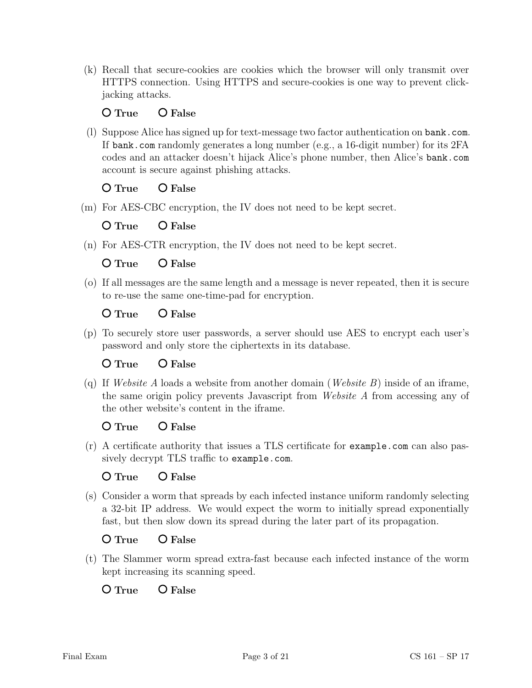(k) Recall that secure-cookies are cookies which the browser will only transmit over HTTPS connection. Using HTTPS and secure-cookies is one way to prevent clickjacking attacks.

### $O$  True  $O$  False

(l) Suppose Alice has signed up for text-message two factor authentication on bank.com. If bank.com randomly generates a long number (e.g., a 16-digit number) for its 2FA codes and an attacker doesn't hijack Alice's phone number, then Alice's bank.com account is secure against phishing attacks.

O True O False

(m) For AES-CBC encryption, the IV does not need to be kept secret.

O True O False

(n) For AES-CTR encryption, the IV does not need to be kept secret.

O True O False

(o) If all messages are the same length and a message is never repeated, then it is secure to re-use the same one-time-pad for encryption.

O True O False

(p) To securely store user passwords, a server should use AES to encrypt each user's password and only store the ciphertexts in its database.

O True O False

(q) If Website A loads a website from another domain (Website B) inside of an iframe, the same origin policy prevents Javascript from Website A from accessing any of the other website's content in the iframe.

O True O False

(r) A certificate authority that issues a TLS certificate for example.com can also passively decrypt TLS traffic to example.com.

O True O False

(s) Consider a worm that spreads by each infected instance uniform randomly selecting a 32-bit IP address. We would expect the worm to initially spread exponentially fast, but then slow down its spread during the later part of its propagation.

O True O False

(t) The Slammer worm spread extra-fast because each infected instance of the worm kept increasing its scanning speed.

 $\Omega$  True  $\Omega$  False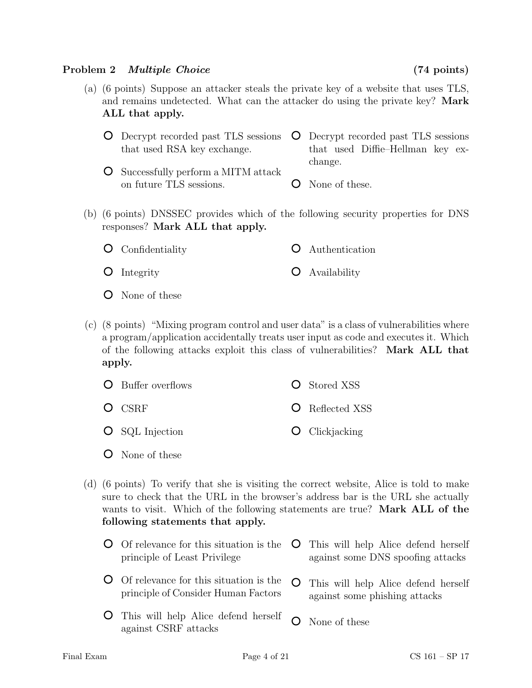### Problem 2 Multiple Choice (74 points)

- (a) (6 points) Suppose an attacker steals the private key of a website that uses TLS, and remains undetected. What can the attacker do using the private key? Mark ALL that apply.
	- Decrypt recorded past TLS sessions that used RSA key exchange. Decrypt recorded past TLS sessions that used Diffie–Hellman key exchange.
	- Successfully perform a MITM attack on future TLS sessions. O None of these.
- (b) (6 points) DNSSEC provides which of the following security properties for DNS responses? Mark ALL that apply.
	- $\circ$ Authentication Confidentiality
	- Availability **O** Integrity  $\circ$
	- None of these
- (c) (8 points) "Mixing program control and user data" is a class of vulnerabilities where a program/application accidentally treats user input as code and executes it. Which of the following attacks exploit this class of vulnerabilities? Mark ALL that apply.

| <b>O</b> Buffer overflows | <b>O</b> Stored XSS    |
|---------------------------|------------------------|
| $O$ CSRF                  | <b>O</b> Reflected XSS |
| $\circ$ SQL Injection     | $\bullet$ Clickjacking |

None of these

against CSRF attacks

- (d) (6 points) To verify that she is visiting the correct website, Alice is told to make sure to check that the URL in the browser's address bar is the URL she actually wants to visit. Which of the following statements are true? **Mark ALL of the** following statements that apply.
	- Of relevance for this situation is the This will help Alice defend herself principle of Least Privilege against some DNS spoofing attacks Of relevance for this situation is the O This will help Alice defend herself principle of Consider Human Factors against some phishing attacks This will help Alice defend herself  $\Omega$ None of these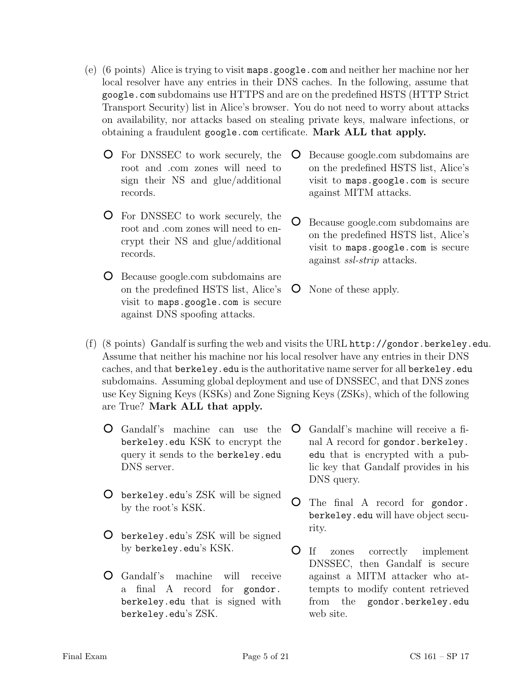- (e) (6 points) Alice is trying to visit maps.google.com and neither her machine nor her local resolver have any entries in their DNS caches. In the following, assume that google.com subdomains use HTTPS and are on the predefined HSTS (HTTP Strict Transport Security) list in Alice's browser. You do not need to worry about attacks on availability, nor attacks based on stealing private keys, malware infections, or obtaining a fraudulent google.com certificate. Mark ALL that apply.
	- For DNSSEC to work securely, the root and .com zones will need to sign their NS and glue/additional records.
	- For DNSSEC to work securely, the root and .com zones will need to encrypt their NS and glue/additional records.
	- Because google.com subdomains are on the predefined HSTS list, Alice's visit to maps.google.com is secure against DNS spoofing attacks.
- $\overline{O}$ Because google.com subdomains are on the predefined HSTS list, Alice's visit to maps.google.com is secure against MITM attacks.
- Because google.com subdomains are on the predefined HSTS list, Alice's visit to maps.google.com is secure against ssl-strip attacks.
- None of these apply.
- (f) (8 points) Gandalf is surfing the web and visits the URL http://gondor.berkeley.edu. Assume that neither his machine nor his local resolver have any entries in their DNS caches, and that berkeley.edu is the authoritative name server for all berkeley.edu subdomains. Assuming global deployment and use of DNSSEC, and that DNS zones use Key Signing Keys (KSKs) and Zone Signing Keys (ZSKs), which of the following are True? Mark ALL that apply.
	- Gandalf's machine can use the berkeley.edu KSK to encrypt the query it sends to the berkeley.edu DNS server.
	- berkeley.edu's ZSK will be signed by the root's KSK.
	- berkeley.edu's ZSK will be signed by berkeley.edu's KSK.
	- Gandalf's machine will receive a final A record for gondor. berkeley.edu that is signed with berkeley.edu's ZSK.
- $\overline{O}$ Gandalf's machine will receive a final A record for gondor.berkeley. edu that is encrypted with a public key that Gandalf provides in his DNS query.
- $\circ$ The final A record for gondor. berkeley.edu will have object security.
- If zones correctly implement DNSSEC, then Gandalf is secure against a MITM attacker who attempts to modify content retrieved from the gondor.berkeley.edu web site.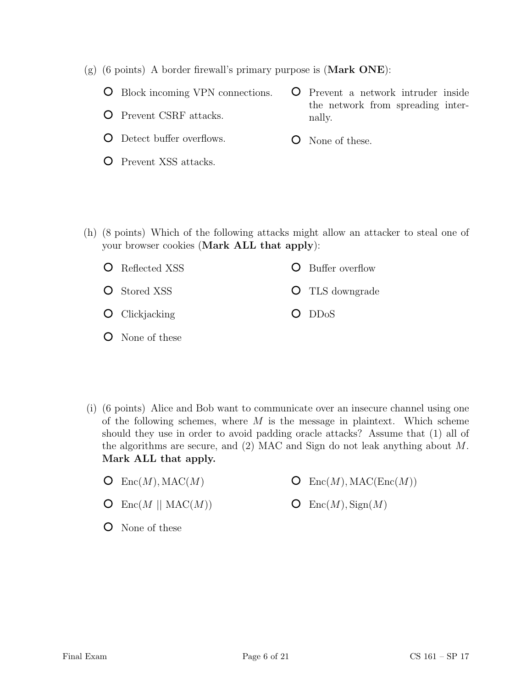- (g) (6 points) A border firewall's primary purpose is (Mark ONE):
	- Block incoming VPN connections.
	- Prevent CSRF attacks.
	- Detect buffer overflows.
	- Prevent XSS attacks.
- Prevent a network intruder inside the network from spreading internally.
- **O** None of these.

(h) (8 points) Which of the following attacks might allow an attacker to steal one of your browser cookies (Mark ALL that apply):

| <b>O</b> Reflected XSS | <b>O</b> Buffer overflow |
|------------------------|--------------------------|
| <b>O</b> Stored XSS    | <b>O</b> TLS downgrade   |
| $O$ Clickjacking       | $O$ DD <sub>o</sub> S    |

- None of these
- (i) (6 points) Alice and Bob want to communicate over an insecure channel using one of the following schemes, where  $M$  is the message in plaintext. Which scheme should they use in order to avoid padding oracle attacks? Assume that (1) all of the algorithms are secure, and (2) MAC and Sign do not leak anything about M. Mark ALL that apply.
	- $\mathsf{O}$  Enc $(M)$ , MAC $(M)$
- $\mathsf{O}$  Enc $(M)$ , MAC(Enc $(M)$ )
- $\mathsf{O}$  Enc(M || MAC(M))
- None of these

 $\mathsf{O}$  Enc $(M)$ , Sign $(M)$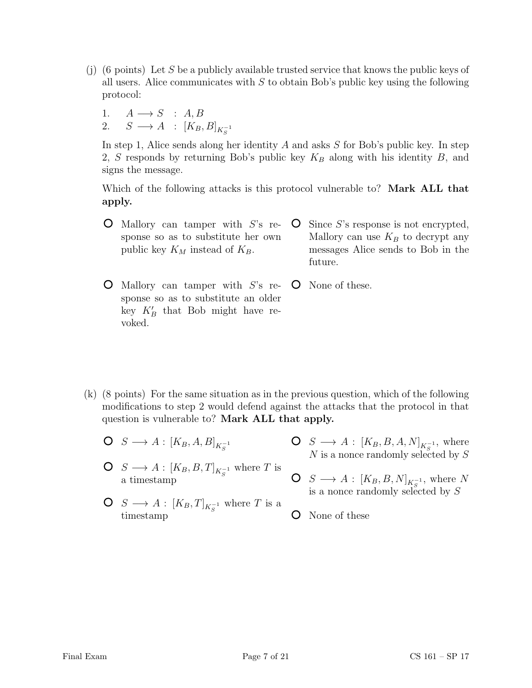- (j) (6 points) Let S be a publicly available trusted service that knows the public keys of all users. Alice communicates with  $S$  to obtain Bob's public key using the following protocol:
	- 1.  $A \longrightarrow S$  : A, B 2.  $S \longrightarrow A : [K_B, B]_{K_S^{-1}}$

In step 1, Alice sends along her identity  $A$  and asks  $S$  for Bob's public key. In step 2, S responds by returning Bob's public key  $K_B$  along with his identity B, and signs the message.

Which of the following attacks is this protocol vulnerable to? **Mark ALL that** apply.

- $\bullet$  Mallory can tamper with S's re- $\circ$ Since S's response is not encrypted, sponse so as to substitute her own Mallory can use  $K_B$  to decrypt any public key  $K_M$  instead of  $K_B$ . messages Alice sends to Bob in the future.
- $\bullet$  Mallory can tamper with S's re- $\circ$ sponse so as to substitute an older key  $K'_B$  that Bob might have revoked.
- None of these.

- (k) (8 points) For the same situation as in the previous question, which of the following modifications to step 2 would defend against the attacks that the protocol in that question is vulnerable to? Mark ALL that apply.
	- $S \longrightarrow A : [K_B, A, B]_{K_S^{-1}}$
	- $S \longrightarrow A : [K_B, B, T]_{K_S^{-1}}$  where T is a timestamp
- $S \longrightarrow A : [K_B, B, A, N]_{K_S^{-1}}$ , where N is a nonce randomly selected by S
- $S \longrightarrow A: [K_B, B, N]_{K_S^{-1}}$ , where N is a nonce randomly selected by  $S$
- $S \longrightarrow A : [K_B, T]_{K_S^{-1}}$  where T is a O None of these timestamp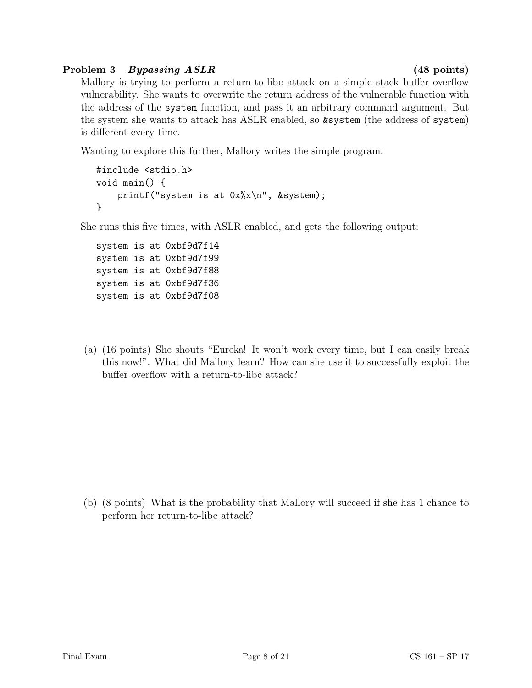# Problem 3 Bypassing ASLR (48 points)

Mallory is trying to perform a return-to-libc attack on a simple stack buffer overflow vulnerability. She wants to overwrite the return address of the vulnerable function with the address of the system function, and pass it an arbitrary command argument. But the system she wants to attack has ASLR enabled, so &system (the address of system) is different every time.

Wanting to explore this further, Mallory writes the simple program:

```
#include <stdio.h>
void main() {
    printf("system is at 0x%x\n", &system);
}
```
She runs this five times, with ASLR enabled, and gets the following output:

system is at 0xbf9d7f14 system is at 0xbf9d7f99 system is at 0xbf9d7f88 system is at 0xbf9d7f36 system is at 0xbf9d7f08

(a) (16 points) She shouts "Eureka! It won't work every time, but I can easily break this now!". What did Mallory learn? How can she use it to successfully exploit the buffer overflow with a return-to-libc attack?

(b) (8 points) What is the probability that Mallory will succeed if she has 1 chance to perform her return-to-libc attack?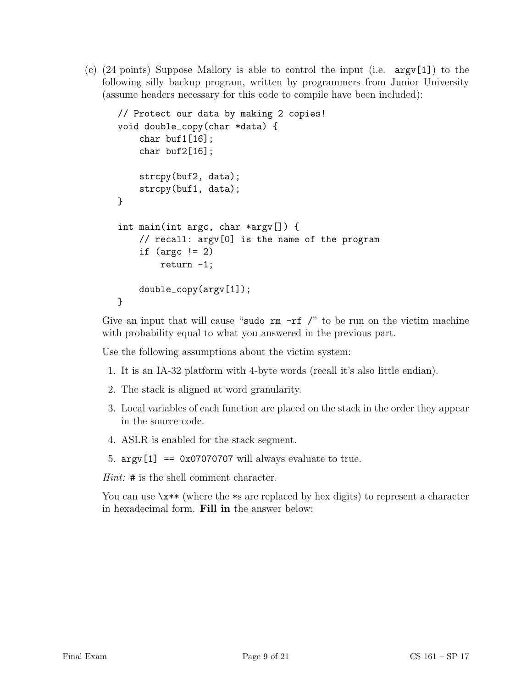(c)  $(24 \text{ points})$  Suppose Mallory is able to control the input (i.e.  $\arg(\1)$ ) to the following silly backup program, written by programmers from Junior University (assume headers necessary for this code to compile have been included):

```
// Protect our data by making 2 copies!
void double_copy(char *data) {
    char buf1[16];
    char buf2[16];
    strcpy(buf2, data);
    strcpy(buf1, data);
}
int main(int argc, char *argv[]) {
    // recall: argv[0] is the name of the program
    if (\arg c := 2)return -1;
    double_copy(argv[1]);
}
```
Give an input that will cause "sudo  $rm -rf$  /" to be run on the victim machine with probability equal to what you answered in the previous part.

Use the following assumptions about the victim system:

- 1. It is an IA-32 platform with 4-byte words (recall it's also little endian).
- 2. The stack is aligned at word granularity.
- 3. Local variables of each function are placed on the stack in the order they appear in the source code.
- 4. ASLR is enabled for the stack segment.
- 5.  $argv[1] == 0x07070707$  will always evaluate to true.

Hint: # is the shell comment character.

You can use  $\xleftrightarrow^*$  (where the  $\ast$ s are replaced by hex digits) to represent a character in hexadecimal form. Fill in the answer below: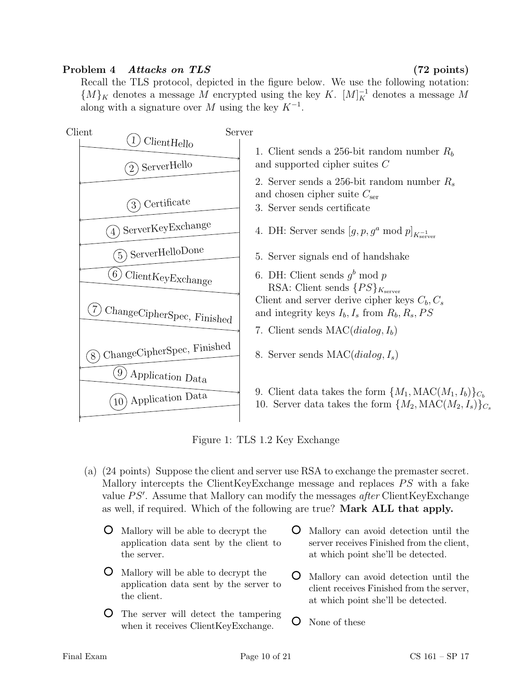# Problem 4 Attacks on TLS (72 points)

Recall the TLS protocol, depicted in the figure below. We use the following notation:  ${M}_K$  denotes a message M encrypted using the key K.  $[M]_K^{-1}$  denotes a message M along with a signature over M using the key  $K^{-1}$ .



Figure 1: TLS 1.2 Key Exchange

- (a) (24 points) Suppose the client and server use RSA to exchange the premaster secret. Mallory intercepts the ClientKeyExchange message and replaces  $PS$  with a fake value  $PS'$ . Assume that Mallory can modify the messages after ClientKeyExchange as well, if required. Which of the following are true? Mark ALL that apply.
	- Mallory will be able to decrypt the application data sent by the client to the server.
	- Mallory will be able to decrypt the application data sent by the server to the client.
	- The server will detect the tampering when it receives ClientKeyExchange.
- Mallory can avoid detection until the server receives Finished from the client, at which point she'll be detected.
- Mallory can avoid detection until the client receives Finished from the server, at which point she'll be detected.
- O None of these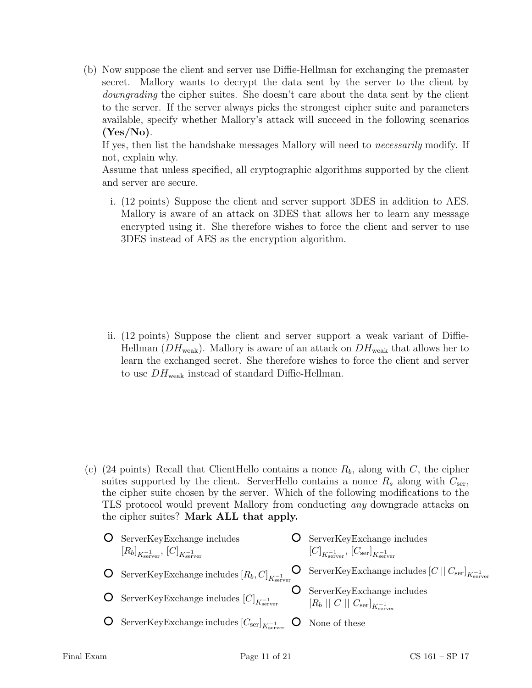(b) Now suppose the client and server use Diffie-Hellman for exchanging the premaster secret. Mallory wants to decrypt the data sent by the server to the client by downgrading the cipher suites. She doesn't care about the data sent by the client to the server. If the server always picks the strongest cipher suite and parameters available, specify whether Mallory's attack will succeed in the following scenarios  $(Yes/No)$ .

If yes, then list the handshake messages Mallory will need to necessarily modify. If not, explain why.

Assume that unless specified, all cryptographic algorithms supported by the client and server are secure.

i. (12 points) Suppose the client and server support 3DES in addition to AES. Mallory is aware of an attack on 3DES that allows her to learn any message encrypted using it. She therefore wishes to force the client and server to use 3DES instead of AES as the encryption algorithm.

ii. (12 points) Suppose the client and server support a weak variant of Diffie-Hellman ( $DH_{weak}$ ). Mallory is aware of an attack on  $DH_{weak}$  that allows her to learn the exchanged secret. She therefore wishes to force the client and server to use  $DH_{weak}$  instead of standard Diffie-Hellman.

(c) (24 points) Recall that ClientHello contains a nonce  $R_b$ , along with C, the cipher suites supported by the client. ServerHello contains a nonce  $R_s$  along with  $C_{\text{ser}}$ , the cipher suite chosen by the server. Which of the following modifications to the TLS protocol would prevent Mallory from conducting any downgrade attacks on the cipher suites? Mark ALL that apply.

| ServerKeyExchange includes                                                                        | ServerKeyExchange includes                                                                |
|---------------------------------------------------------------------------------------------------|-------------------------------------------------------------------------------------------|
| $[R_b]_{K_{\text{server}}^{-1}}, [C]_{K_{\text{server}}^{-1}}$                                    | $[C]_{K_{\text{server}}}$ , $[C_{\text{ser}}]_{K_{\text{server}}}$                        |
| <b>O</b> ServerKeyExchange includes $[R_b, C]_{K_{\text{coup}}^{-1}}$                             | <b>O</b> ServerKeyExchange includes $[C  C_{\text{ser}}]_{K_{\text{server}}}$             |
| <b>O</b> ServerKeyExchange includes $[C]_{K_{\text{coarse}}}$                                     | <b>O</b> ServerKeyExchange includes<br>$[R_b    C    C_{\text{ser}}]_{K_{\text{server}}}$ |
| <b>O</b> ServerKeyExchange includes $[C_{\text{ser}}]_{K_{\text{server}}}$ <b>O</b> None of these |                                                                                           |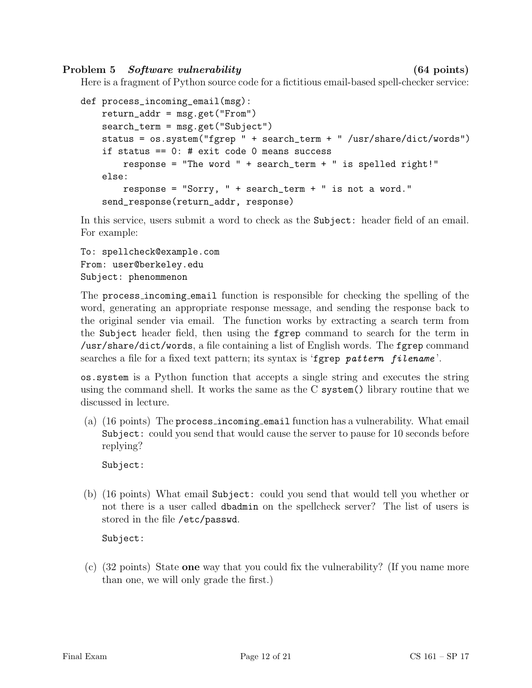Problem 5 Software vulnerability (64 points)

Here is a fragment of Python source code for a fictitious email-based spell-checker service:

```
def process_incoming_email(msg):
   return_addr = msg.get("From")
    search_term = msg.get("Subject")
    status = os.system("fgrep " + search_term + " /usr/share/dict/words")
    if status == 0: # exit code 0 means success
        response = "The word " + search_term + " is spelled right!"
    else:
        response = "Sorry, " + search_term + " is not a word."
    send_response(return_addr, response)
```
In this service, users submit a word to check as the Subject: header field of an email. For example:

```
To: spellcheck@example.com
From: user@berkeley.edu
Subject: phenommenon
```
The process incoming email function is responsible for checking the spelling of the word, generating an appropriate response message, and sending the response back to the original sender via email. The function works by extracting a search term from the Subject header field, then using the fgrep command to search for the term in /usr/share/dict/words, a file containing a list of English words. The fgrep command searches a file for a fixed text pattern; its syntax is 'fgrep pattern filename'.

os.system is a Python function that accepts a single string and executes the string using the command shell. It works the same as the C system() library routine that we discussed in lecture.

(a) (16 points) The process incoming email function has a vulnerability. What email Subject: could you send that would cause the server to pause for 10 seconds before replying?

Subject:

(b) (16 points) What email Subject: could you send that would tell you whether or not there is a user called dbadmin on the spellcheck server? The list of users is stored in the file /etc/passwd.

Subject:

(c) (32 points) State one way that you could fix the vulnerability? (If you name more than one, we will only grade the first.)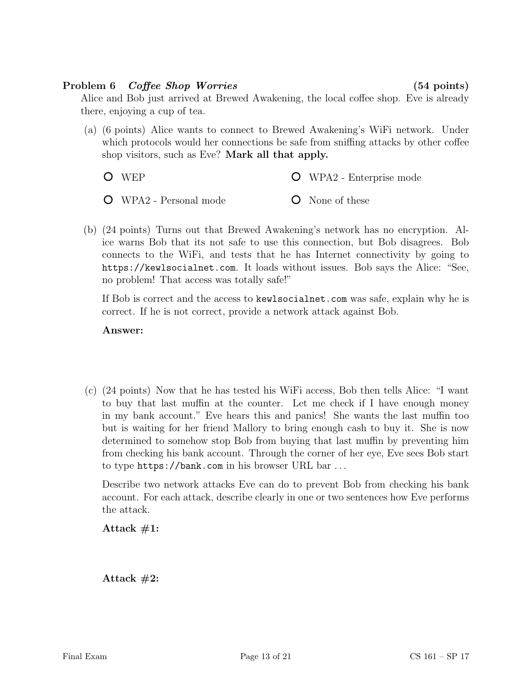# Problem 6 Coffee Shop Worries (54 points)

Alice and Bob just arrived at Brewed Awakening, the local coffee shop. Eve is already there, enjoying a cup of tea.

(a) (6 points) Alice wants to connect to Brewed Awakening's WiFi network. Under which protocols would her connections be safe from sniffing attacks by other coffee shop visitors, such as Eve? Mark all that apply.

WEP WPA2 - Enterprise mode

WPA2 - Personal mode None of these

(b) (24 points) Turns out that Brewed Awakening's network has no encryption. Alice warns Bob that its not safe to use this connection, but Bob disagrees. Bob connects to the WiFi, and tests that he has Internet connectivity by going to https://kewlsocialnet.com. It loads without issues. Bob says the Alice: "See, no problem! That access was totally safe!"

If Bob is correct and the access to kewlsocialnet.com was safe, explain why he is correct. If he is not correct, provide a network attack against Bob.

### Answer:

(c) (24 points) Now that he has tested his WiFi access, Bob then tells Alice: "I want to buy that last muffin at the counter. Let me check if I have enough money in my bank account." Eve hears this and panics! She wants the last muffin too but is waiting for her friend Mallory to bring enough cash to buy it. She is now determined to somehow stop Bob from buying that last muffin by preventing him from checking his bank account. Through the corner of her eye, Eve sees Bob start to type https://bank.com in his browser URL bar . . .

Describe two network attacks Eve can do to prevent Bob from checking his bank account. For each attack, describe clearly in one or two sentences how Eve performs the attack.

Attack  $#1$ :

Attack  $#2$ :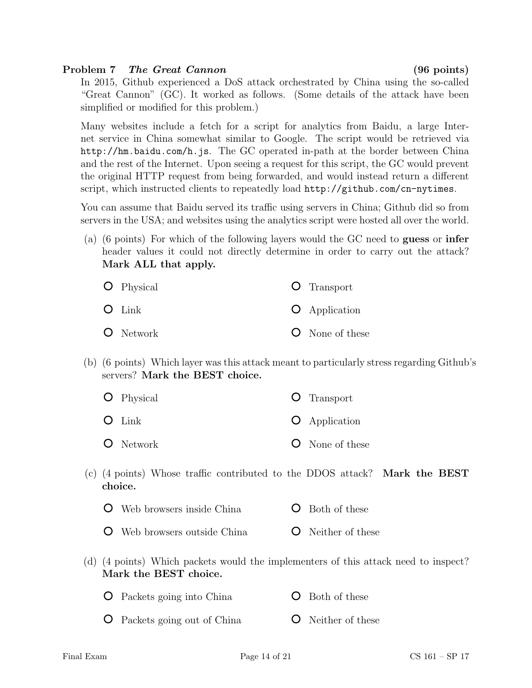### Problem 7 The Great Cannon (96 points)

In 2015, Github experienced a DoS attack orchestrated by China using the so-called "Great Cannon" (GC). It worked as follows. (Some details of the attack have been simplified or modified for this problem.)

Many websites include a fetch for a script for analytics from Baidu, a large Internet service in China somewhat similar to Google. The script would be retrieved via http://hm.baidu.com/h.js. The GC operated in-path at the border between China and the rest of the Internet. Upon seeing a request for this script, the GC would prevent the original HTTP request from being forwarded, and would instead return a different script, which instructed clients to repeatedly load http://github.com/cn-nytimes.

You can assume that Baidu served its traffic using servers in China; Github did so from servers in the USA; and websites using the analytics script were hosted all over the world.

(a) (6 points) For which of the following layers would the GC need to guess or infer header values it could not directly determine in order to carry out the attack? Mark ALL that apply.

| <b>O</b> Physical | <b>O</b> Transport   |
|-------------------|----------------------|
| $O$ Link          | <b>O</b> Application |
| <b>O</b> Network  | O None of these      |

(b) (6 points) Which layer was this attack meant to particularly stress regarding Github's servers? Mark the BEST choice.

| <b>O</b> Physical | <b>O</b> Transport     |
|-------------------|------------------------|
| $O$ Link          | $\bullet$ Application  |
| <b>O</b> Network  | <b>O</b> None of these |

- (c) (4 points) Whose traffic contributed to the DDOS attack? Mark the BEST choice.
	- Web browsers inside China **O** Both of these
	- Web browsers outside China **O** Neither of these
- (d) (4 points) Which packets would the implementers of this attack need to inspect? Mark the BEST choice.

| <b>O</b> Packets going into China | <b>O</b> Both of these |
|-----------------------------------|------------------------|
|                                   |                        |

Packets going out of China **O** Neither of these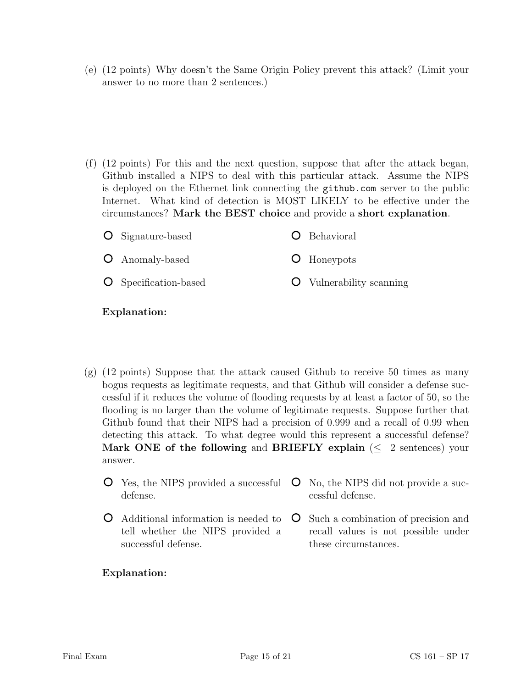(e) (12 points) Why doesn't the Same Origin Policy prevent this attack? (Limit your answer to no more than 2 sentences.)

(f) (12 points) For this and the next question, suppose that after the attack began, Github installed a NIPS to deal with this particular attack. Assume the NIPS is deployed on the Ethernet link connecting the github.com server to the public Internet. What kind of detection is MOST LIKELY to be effective under the circumstances? Mark the BEST choice and provide a short explanation.

| <b>O</b> Signature-based     | <b>O</b> Behavioral             |
|------------------------------|---------------------------------|
| <b>O</b> Anomaly-based       | <b>O</b> Honeypots              |
| <b>O</b> Specification-based | <b>O</b> Vulnerability scanning |

### Explanation:

- (g) (12 points) Suppose that the attack caused Github to receive 50 times as many bogus requests as legitimate requests, and that Github will consider a defense successful if it reduces the volume of flooding requests by at least a factor of 50, so the flooding is no larger than the volume of legitimate requests. Suppose further that Github found that their NIPS had a precision of 0.999 and a recall of 0.99 when detecting this attack. To what degree would this represent a successful defense? Mark ONE of the following and BRIEFLY explain ( $\leq 2$  sentences) your answer.
	- Yes, the NIPS provided a successful  $\circ$ No, the NIPS did not provide a sucdefense. cessful defense.
	- Additional information is needed to tell whether the NIPS provided a successful defense. Such a combination of precision and recall values is not possible under these circumstances.

### Explanation: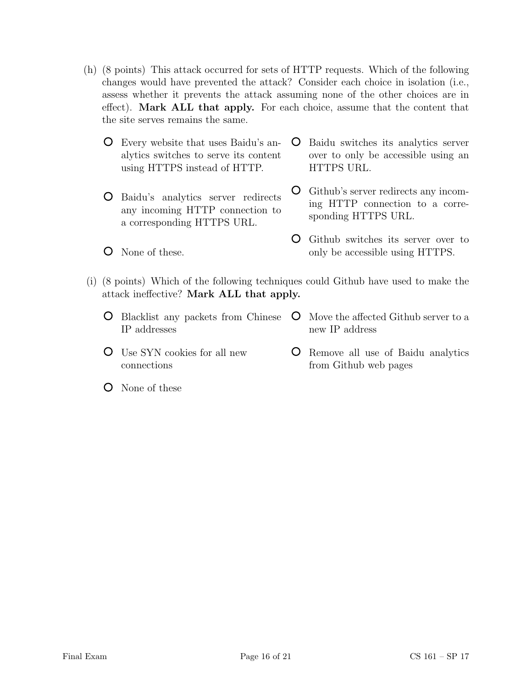- (h) (8 points) This attack occurred for sets of HTTP requests. Which of the following changes would have prevented the attack? Consider each choice in isolation (i.e., assess whether it prevents the attack assuming none of the other choices are in effect). Mark ALL that apply. For each choice, assume that the content that the site serves remains the same.
	- Every website that uses Baidu's analytics switches to serve its content using HTTPS instead of HTTP.
	- Baidu's analytics server redirects any incoming HTTP connection to a corresponding HTTPS URL.
	- None of these.

Baidu switches its analytics server over to only be accessible using an HTTPS URL.

Github's server redirects any incoming HTTP connection to a corresponding HTTPS URL.

- Github switches its server over to only be accessible using HTTPS.
- (i) (8 points) Which of the following techniques could Github have used to make the attack ineffective? Mark ALL that apply.
	- Blacklist any packets from Chinese IP addresses **O** Move the affected Github server to a new IP address
	- Use SYN cookies for all new connections
- Remove all use of Baidu analytics from Github web pages

None of these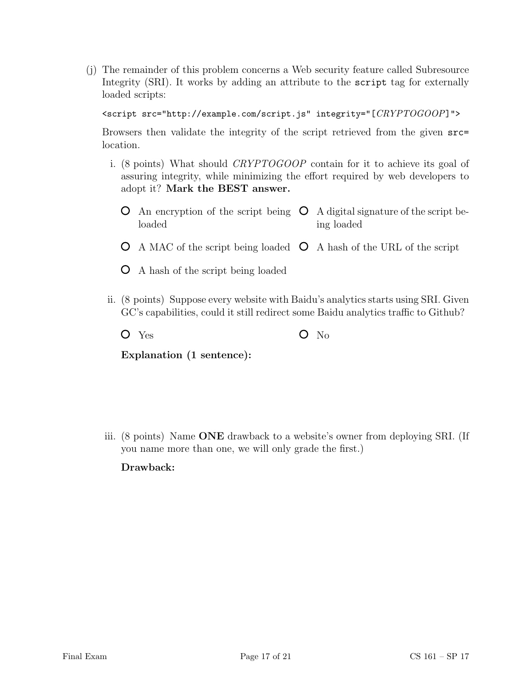(j) The remainder of this problem concerns a Web security feature called Subresource Integrity (SRI). It works by adding an attribute to the script tag for externally loaded scripts:

<script src="http://example.com/script.js" integrity="[CRYPTOGOOP]">

Browsers then validate the integrity of the script retrieved from the given src= location.

- i. (8 points) What should CRYPTOGOOP contain for it to achieve its goal of assuring integrity, while minimizing the effort required by web developers to adopt it? Mark the BEST answer.
	- An encryption of the script being  $\circ$  A digital signature of the script beloaded ing loaded
	- A MAC of the script being loaded  $\circ$  A hash of the URL of the script
	- A hash of the script being loaded
- ii. (8 points) Suppose every website with Baidu's analytics starts using SRI. Given GC's capabilities, could it still redirect some Baidu analytics traffic to Github?
	- $O$  Yes  $O$  No

Explanation (1 sentence):

iii. (8 points) Name ONE drawback to a website's owner from deploying SRI. (If you name more than one, we will only grade the first.)

Drawback: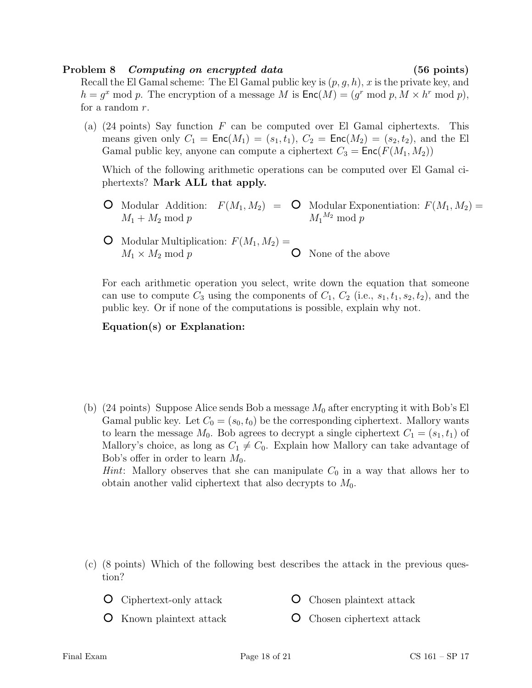### Problem 8 Computing on encrypted data (56 points)

Recall the El Gamal scheme: The El Gamal public key is  $(p, g, h)$ , x is the private key, and  $h = g^x \mod p$ . The encryption of a message M is  $\mathsf{Enc}(M) = (g^r \mod p, M \times h^r \mod p)$ , for a random r.

(a) (24 points) Say function  $F$  can be computed over El Gamal ciphertexts. This means given only  $C_1 = \text{Enc}(M_1) = (s_1, t_1), C_2 = \text{Enc}(M_2) = (s_2, t_2),$  and the El Gamal public key, anyone can compute a ciphertext  $C_3 = \text{Enc}(F(M_1, M_2))$ 

Which of the following arithmetic operations can be computed over El Gamal ciphertexts? Mark ALL that apply.

- Modular Addition:  $F(M_1, M_2) = \mathbf{O}$  Modular Exponentiation:  $F(M_1, M_2) =$  $M_1 + M_2 \mod p$  $M_1{}^{M_2} \bmod p$
- **O** Modular Multiplication:  $F(M_1, M_2) =$  $M_1 \times M_2 \mod p$ None of the above

For each arithmetic operation you select, write down the equation that someone can use to compute  $C_3$  using the components of  $C_1$ ,  $C_2$  (i.e.,  $s_1, t_1, s_2, t_2$ ), and the public key. Or if none of the computations is possible, explain why not.

### Equation(s) or Explanation:

(b) (24 points) Suppose Alice sends Bob a message  $M_0$  after encrypting it with Bob's El Gamal public key. Let  $C_0 = (s_0, t_0)$  be the corresponding ciphertext. Mallory wants to learn the message  $M_0$ . Bob agrees to decrypt a single ciphertext  $C_1 = (s_1, t_1)$  of Mallory's choice, as long as  $C_1 \neq C_0$ . Explain how Mallory can take advantage of Bob's offer in order to learn  $M_0$ . *Hint*: Mallory observes that she can manipulate  $C_0$  in a way that allows her to obtain another valid ciphertext that also decrypts to  $M_0$ .

- (c) (8 points) Which of the following best describes the attack in the previous question?
	- Ciphertext-only attack Chosen plaintext attack
	- **O** Known plaintext attack Chosen ciphertext attack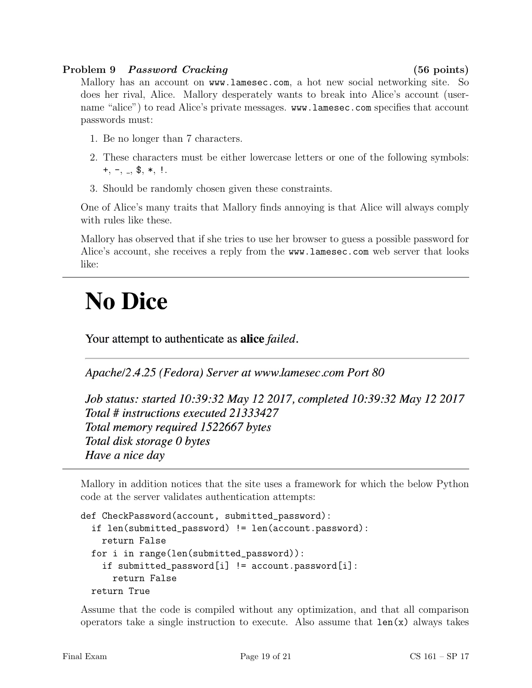### Problem 9 Password Cracking (56 points)

Mallory has an account on www.lamesec.com, a hot new social networking site. So does her rival, Alice. Mallory desperately wants to break into Alice's account (username "alice") to read Alice's private messages. www.lamesec.com specifies that account passwords must:

- 1. Be no longer than 7 characters.
- 2. These characters must be either lowercase letters or one of the following symbols:  $+, -, -,$  \$,  $*,$ !.
- 3. Should be randomly chosen given these constraints.

One of Alice's many traits that Mallory finds annoying is that Alice will always comply with rules like these.

Mallory has observed that if she tries to use her browser to guess a possible password for Alice's account, she receives a reply from the www.lamesec.com web server that looks like:

# **No Dice**

Your attempt to authenticate as **alice** *failed*.

Apache/2.4.25 (Fedora) Server at www.lamesec.com Port 80

Job status: started 10:39:32 May 12 2017, completed 10:39:32 May 12 2017 Total # instructions executed 21333427 Total memory required 1522667 bytes Total disk storage 0 bytes Have a nice day

Mallory in addition notices that the site uses a framework for which the below Python code at the server validates authentication attempts:

```
def CheckPassword(account, submitted_password):
 if len(submitted_password) != len(account.password):
    return False
 for i in range(len(submitted_password)):
    if submitted_password[i] != account.password[i]:
     return False
 return True
```
Assume that the code is compiled without any optimization, and that all comparison operators take a single instruction to execute. Also assume that  $len(x)$  always takes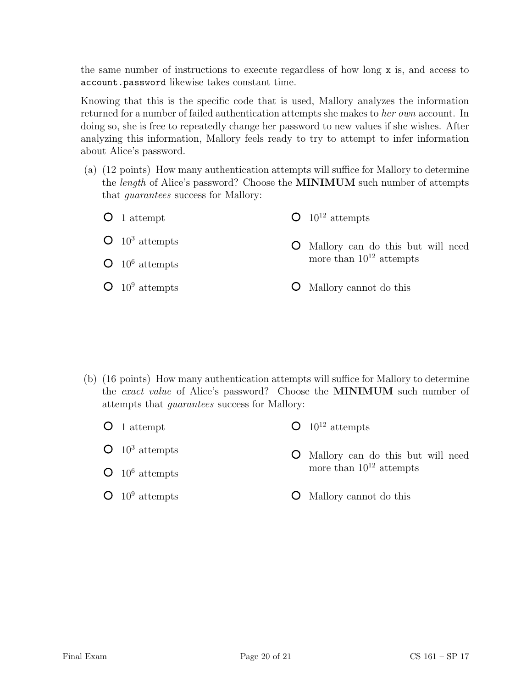the same number of instructions to execute regardless of how long x is, and access to account.password likewise takes constant time.

Knowing that this is the specific code that is used, Mallory analyzes the information returned for a number of failed authentication attempts she makes to her own account. In doing so, she is free to repeatedly change her password to new values if she wishes. After analyzing this information, Mallory feels ready to try to attempt to infer information about Alice's password.

- (a) (12 points) How many authentication attempts will suffice for Mallory to determine the length of Alice's password? Choose the MINIMUM such number of attempts that guarantees success for Mallory:
	- **O** 1 attempt  $\bullet$  10<sup>3</sup> attempts  $O$  10<sup>6</sup> attempts  $O$  10<sup>9</sup> attempts  $O$  10<sup>12</sup> attempts Mallory can do this but will need more than  $10^{12}$  attempts Mallory cannot do this

- (b) (16 points) How many authentication attempts will suffice for Mallory to determine the exact value of Alice's password? Choose the MINIMUM such number of attempts that guarantees success for Mallory:
	- **O** 1 attempt  $O$  10<sup>12</sup> attempts
	- $O$  10<sup>3</sup> attempts
	- $O$  10<sup>6</sup> attempts
	- $O$  10<sup>9</sup> attempts
- - Mallory can do this but will need more than  $10^{12}$  attempts
	- Mallory cannot do this